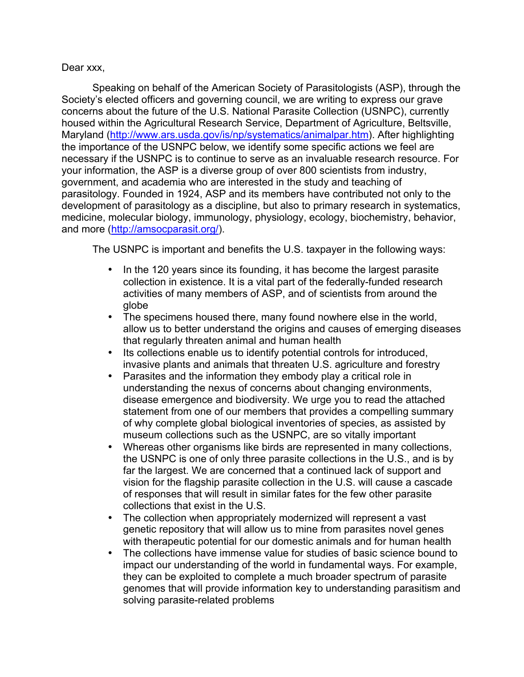## Dear xxx,

Speaking on behalf of the American Society of Parasitologists (ASP), through the Society's elected officers and governing council, we are writing to express our grave concerns about the future of the U.S. National Parasite Collection (USNPC), currently housed within the Agricultural Research Service, Department of Agriculture, Beltsville, Maryland (http://www.ars.usda.gov/is/np/systematics/animalpar.htm). After highlighting the importance of the USNPC below, we identify some specific actions we feel are necessary if the USNPC is to continue to serve as an invaluable research resource. For your information, the ASP is a diverse group of over 800 scientists from industry, government, and academia who are interested in the study and teaching of parasitology. Founded in 1924, ASP and its members have contributed not only to the development of parasitology as a discipline, but also to primary research in systematics, medicine, molecular biology, immunology, physiology, ecology, biochemistry, behavior, and more (http://amsocparasit.org/).

The USNPC is important and benefits the U.S. taxpayer in the following ways:

- In the 120 years since its founding, it has become the largest parasite collection in existence. It is a vital part of the federally-funded research activities of many members of ASP, and of scientists from around the globe
- The specimens housed there, many found nowhere else in the world, allow us to better understand the origins and causes of emerging diseases that regularly threaten animal and human health
- Its collections enable us to identify potential controls for introduced, invasive plants and animals that threaten U.S. agriculture and forestry
- Parasites and the information they embody play a critical role in understanding the nexus of concerns about changing environments, disease emergence and biodiversity. We urge you to read the attached statement from one of our members that provides a compelling summary of why complete global biological inventories of species, as assisted by museum collections such as the USNPC, are so vitally important
- Whereas other organisms like birds are represented in many collections, the USNPC is one of only three parasite collections in the U.S., and is by far the largest. We are concerned that a continued lack of support and vision for the flagship parasite collection in the U.S. will cause a cascade of responses that will result in similar fates for the few other parasite collections that exist in the U.S.
- The collection when appropriately modernized will represent a vast genetic repository that will allow us to mine from parasites novel genes with therapeutic potential for our domestic animals and for human health
- The collections have immense value for studies of basic science bound to impact our understanding of the world in fundamental ways. For example, they can be exploited to complete a much broader spectrum of parasite genomes that will provide information key to understanding parasitism and solving parasite-related problems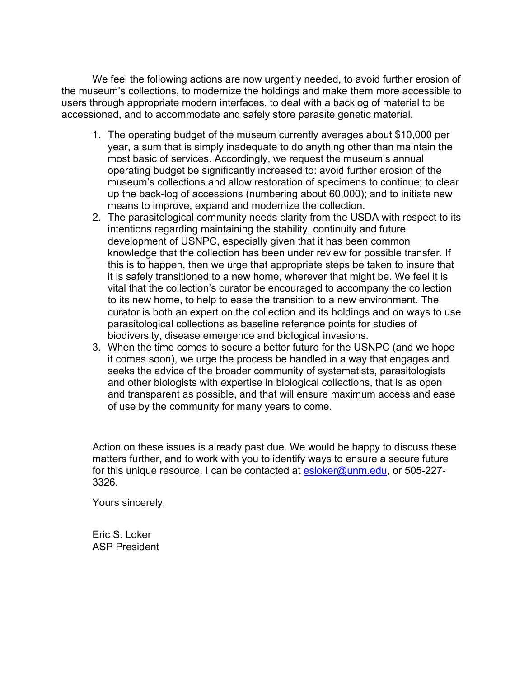We feel the following actions are now urgently needed, to avoid further erosion of the museum's collections, to modernize the holdings and make them more accessible to users through appropriate modern interfaces, to deal with a backlog of material to be accessioned, and to accommodate and safely store parasite genetic material.

- 1. The operating budget of the museum currently averages about \$10,000 per year, a sum that is simply inadequate to do anything other than maintain the most basic of services. Accordingly, we request the museum's annual operating budget be significantly increased to: avoid further erosion of the museum's collections and allow restoration of specimens to continue; to clear up the back-log of accessions (numbering about 60,000); and to initiate new means to improve, expand and modernize the collection.
- 2. The parasitological community needs clarity from the USDA with respect to its intentions regarding maintaining the stability, continuity and future development of USNPC, especially given that it has been common knowledge that the collection has been under review for possible transfer. If this is to happen, then we urge that appropriate steps be taken to insure that it is safely transitioned to a new home, wherever that might be. We feel it is vital that the collection's curator be encouraged to accompany the collection to its new home, to help to ease the transition to a new environment. The curator is both an expert on the collection and its holdings and on ways to use parasitological collections as baseline reference points for studies of biodiversity, disease emergence and biological invasions.
- 3. When the time comes to secure a better future for the USNPC (and we hope it comes soon), we urge the process be handled in a way that engages and seeks the advice of the broader community of systematists, parasitologists and other biologists with expertise in biological collections, that is as open and transparent as possible, and that will ensure maximum access and ease of use by the community for many years to come.

Action on these issues is already past due. We would be happy to discuss these matters further, and to work with you to identify ways to ensure a secure future for this unique resource. I can be contacted at esloker@unm.edu, or 505-227-3326.

Yours sincerely,

Eric S. Loker ASP President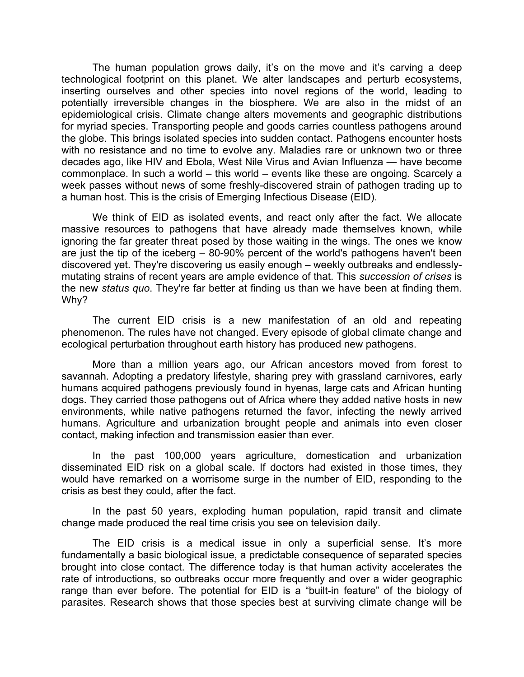The human population grows daily, it's on the move and it's carving a deep technological footprint on this planet. We alter landscapes and perturb ecosystems, inserting ourselves and other species into novel regions of the world, leading to potentially irreversible changes in the biosphere. We are also in the midst of an epidemiological crisis. Climate change alters movements and geographic distributions for myriad species. Transporting people and goods carries countless pathogens around the globe. This brings isolated species into sudden contact. Pathogens encounter hosts with no resistance and no time to evolve any. Maladies rare or unknown two or three decades ago, like HIV and Ebola, West Nile Virus and Avian Influenza — have become commonplace. In such a world – this world – events like these are ongoing. Scarcely a week passes without news of some freshly-discovered strain of pathogen trading up to a human host. This is the crisis of Emerging Infectious Disease (EID).

We think of EID as isolated events, and react only after the fact. We allocate massive resources to pathogens that have already made themselves known, while ignoring the far greater threat posed by those waiting in the wings. The ones we know are just the tip of the iceberg  $-$  80-90% percent of the world's pathogens haven't been discovered yet. They're discovering us easily enough – weekly outbreaks and endlesslymutating strains of recent years are ample evidence of that. This *succession of crises* is the new *status quo*. They're far better at finding us than we have been at finding them. Why?

The current EID crisis is a new manifestation of an old and repeating phenomenon. The rules have not changed. Every episode of global climate change and ecological perturbation throughout earth history has produced new pathogens.

More than a million years ago, our African ancestors moved from forest to savannah. Adopting a predatory lifestyle, sharing prey with grassland carnivores, early humans acquired pathogens previously found in hyenas, large cats and African hunting dogs. They carried those pathogens out of Africa where they added native hosts in new environments, while native pathogens returned the favor, infecting the newly arrived humans. Agriculture and urbanization brought people and animals into even closer contact, making infection and transmission easier than ever.

In the past 100,000 years agriculture, domestication and urbanization disseminated EID risk on a global scale. If doctors had existed in those times, they would have remarked on a worrisome surge in the number of EID, responding to the crisis as best they could, after the fact.

In the past 50 years, exploding human population, rapid transit and climate change made produced the real time crisis you see on television daily.

The EID crisis is a medical issue in only a superficial sense. It's more fundamentally a basic biological issue, a predictable consequence of separated species brought into close contact. The difference today is that human activity accelerates the rate of introductions, so outbreaks occur more frequently and over a wider geographic range than ever before. The potential for EID is a "built-in feature" of the biology of parasites. Research shows that those species best at surviving climate change will be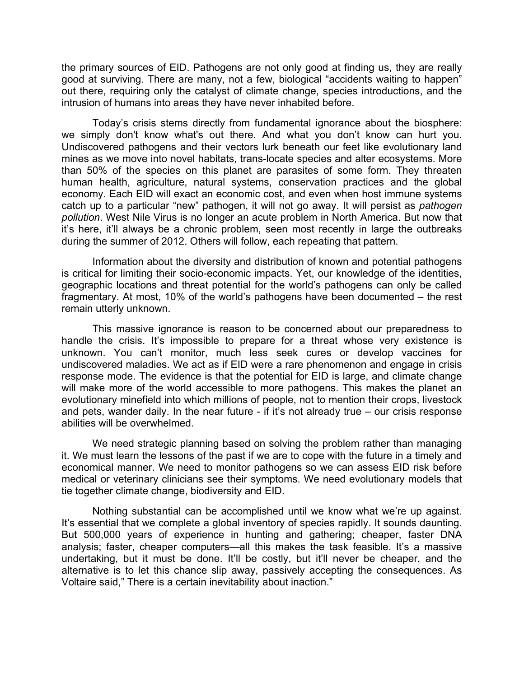the primary sources of EID. Pathogens are not only good at finding us, they are really good at surviving. There are many, not a few, biological "accidents waiting to happen" out there, requiring only the catalyst of climate change, species introductions, and the intrusion of humans into areas they have never inhabited before.

Today's crisis stems directly from fundamental ignorance about the biosphere: we simply don't know what's out there. And what you don't know can hurt you. Undiscovered pathogens and their vectors lurk beneath our feet like evolutionary land mines as we move into novel habitats, trans-locate species and alter ecosystems. More than 50% of the species on this planet are parasites of some form. They threaten human health, agriculture, natural systems, conservation practices and the global economy. Each EID will exact an economic cost, and even when host immune systems catch up to a particular "new" pathogen, it will not go away. It will persist as *pathogen pollution*. West Nile Virus is no longer an acute problem in North America. But now that it's here, it'll always be a chronic problem, seen most recently in large the outbreaks during the summer of 2012. Others will follow, each repeating that pattern.

Information about the diversity and distribution of known and potential pathogens is critical for limiting their socio-economic impacts. Yet, our knowledge of the identities, geographic locations and threat potential for the world's pathogens can only be called fragmentary. At most, 10% of the world's pathogens have been documented – the rest remain utterly unknown.

This massive ignorance is reason to be concerned about our preparedness to handle the crisis. It's impossible to prepare for a threat whose very existence is unknown. You can't monitor, much less seek cures or develop vaccines for undiscovered maladies. We act as if EID were a rare phenomenon and engage in crisis response mode. The evidence is that the potential for EID is large, and climate change will make more of the world accessible to more pathogens. This makes the planet an evolutionary minefield into which millions of people, not to mention their crops, livestock and pets, wander daily. In the near future - if it's not already true – our crisis response abilities will be overwhelmed.

We need strategic planning based on solving the problem rather than managing it. We must learn the lessons of the past if we are to cope with the future in a timely and economical manner. We need to monitor pathogens so we can assess EID risk before medical or veterinary clinicians see their symptoms. We need evolutionary models that tie together climate change, biodiversity and EID.

Nothing substantial can be accomplished until we know what we're up against. It's essential that we complete a global inventory of species rapidly. It sounds daunting. But 500,000 years of experience in hunting and gathering; cheaper, faster DNA analysis; faster, cheaper computers—all this makes the task feasible. It's a massive undertaking, but it must be done. It'll be costly, but it'll never be cheaper, and the alternative is to let this chance slip away, passively accepting the consequences. As Voltaire said," There is a certain inevitability about inaction."